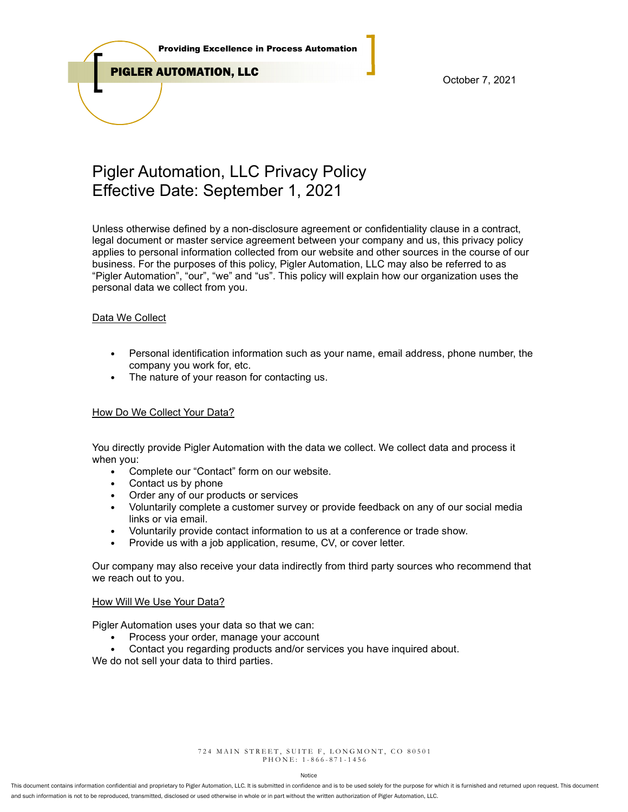

PIGLER AUTOMATION, LLC

October 7, 2021

# Pigler Automation, LLC Privacy Policy Effective Date: September 1, 2021

Unless otherwise defined by a non-disclosure agreement or confidentiality clause in a contract, legal document or master service agreement between your company and us, this privacy policy applies to personal information collected from our website and other sources in the course of our business. For the purposes of this policy, Pigler Automation, LLC may also be referred to as "Pigler Automation", "our", "we" and "us". This policy will explain how our organization uses the personal data we collect from you.

# Data We Collect

- Personal identification information such as your name, email address, phone number, the company you work for, etc.
- The nature of your reason for contacting us.

## How Do We Collect Your Data?

You directly provide Pigler Automation with the data we collect. We collect data and process it when you:

- Complete our "Contact" form on our website.
- Contact us by phone
- Order any of our products or services
- Voluntarily complete a customer survey or provide feedback on any of our social media links or via email.
- Voluntarily provide contact information to us at a conference or trade show.
- Provide us with a job application, resume, CV, or cover letter.

Our company may also receive your data indirectly from third party sources who recommend that we reach out to you.

### How Will We Use Your Data?

Pigler Automation uses your data so that we can:

- Process your order, manage your account
- Contact you regarding products and/or services you have inquired about.

We do not sell your data to third parties.

724 MAIN STREET, SUITE F, LONGMONT, CO 80501 P H O N E : 1 - 8 6 6 - 8 7 1 - 1 4 5 6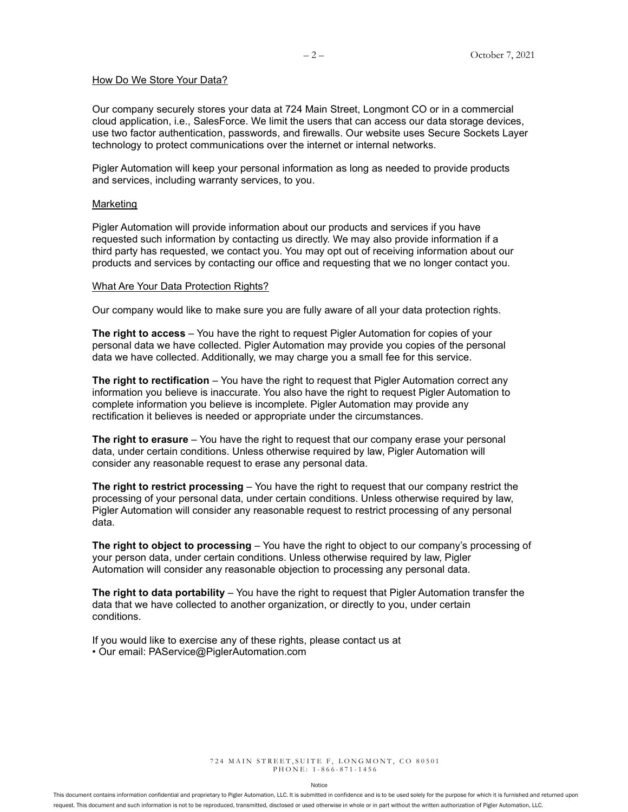#### How Do We Store Your Data?

Our company securely stores your data at 724 Main Street, Longmont CO or in a commercial cloud application, i.e., SalesForce. We limit the users that can access our data storage devices, use two factor authentication, passwords, and firewalls. Our website uses Secure Sockets Layer technology to protect communications over the internet or internal networks.

Pigler Automation will keep your personal information as long as needed to provide products and services, including warranty services, to you.

#### Marketing

Pigler Automation will provide information about our products and services if you have requested such information by contacting us directly. We may also provide information if a third party has requested, we contact you. You may opt out of receiving information about our products and services by contacting our office and requesting that we no longer contact you.

#### What Are Your Data Protection Rights?

Our company would like to make sure you are fully aware of all your data protection rights.

The right to access – You have the right to request Pigler Automation for copies of your personal data we have collected. Pigler Automation may provide you copies of the personal data we have collected. Additionally, we may charge you a small fee for this service.

**The right to rectification** – You have the right to request that Pigler Automation correct any information you believe is inaccurate. You also have the right to request Pigler Automation to complete information you believe is incomplete. Pigler Automation may provide any rectification it believes is needed or appropriate under the circumstances.

The right to erasure – You have the right to request that our company erase your personal data, under certain conditions. Unless otherwise required by law, Pigler Automation will consider any reasonable request to erase any personal data.

The right to restrict processing – You have the right to request that our company restrict the processing of your personal data, under certain conditions. Unless otherwise required by law, Pigler Automation will consider any reasonable request to restrict processing of any personal data.

The right to object to processing – You have the right to object to our company's processing of your person data, under certain conditions. Unless otherwise required by law, Pigler Automation will consider any reasonable objection to processing any personal data.

The right to data portability – You have the right to request that Pigler Automation transfer the data that we have collected to another organization, or directly to you, under certain conditions.

If you would like to exercise any of these rights, please contact us at • Our email: PAService@PiglerAutomation.com

> 724 MAIN STREET, SUITE F, LONGMONT, CO 80501 P H O N E : 1 - 8 6 6 - 8 7 1 - 1 4 5 6

> > Notice

This document contains information confidential and proprietary to Pigler Automation, LLC. It is submitted in confidence and is to be used solely for the purpose for which it is furnished and returned upon request. This document and such information is not to be reproduced, transmitted, disclosed or used otherwise in whole or in part without the written authorization of Pigler Automation, LLC.